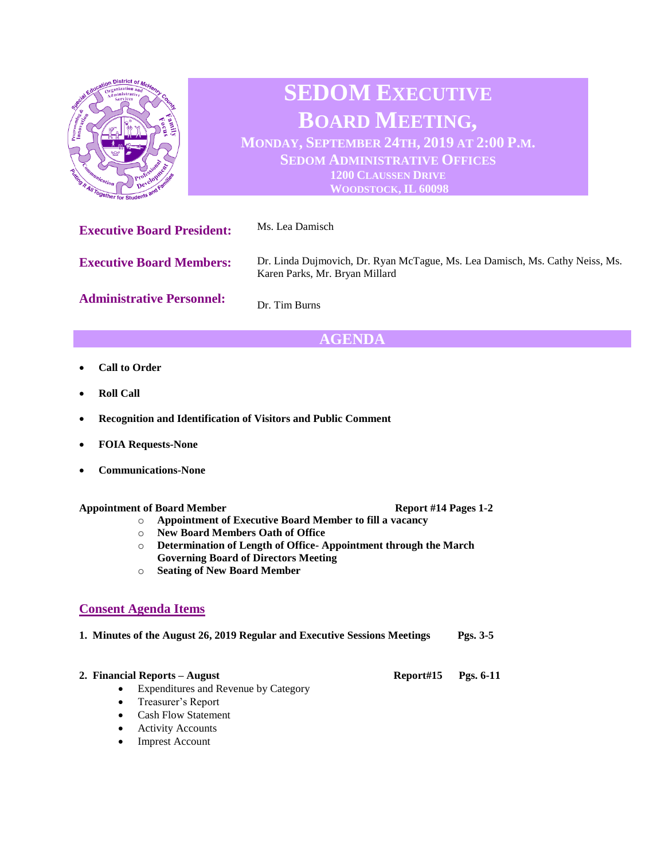

## **AGENDA**

- **Call to Order**
- **Roll Call**
- **Recognition and Identification of Visitors and Public Comment**
- **FOIA Requests-None**
- **Communications-None**

## **Appointment of Board Member Report #14 Pages 1-2**

- o **Appointment of Executive Board Member to fill a vacancy**
- o **New Board Members Oath of Office**
- o **Determination of Length of Office- Appointment through the March Governing Board of Directors Meeting**
- o **Seating of New Board Member**

## **Consent Agenda Items**

## **1. Minutes of the August 26, 2019 Regular and Executive Sessions Meetings Pgs. 3-5**

**2. Financial Reports – August Report#15 Pgs. 6-11**

- Expenditures and Revenue by Category
- Treasurer's Report
- Cash Flow Statement
- Activity Accounts
- Imprest Account